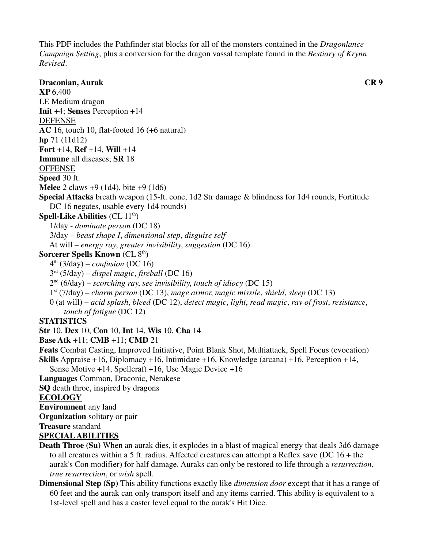This PDF includes the Pathfinder stat blocks for all of the monsters contained in the *Dragonlance Campaign Setting*, plus a conversion for the dragon vassal template found in the *Bestiary of Krynn Revised*.

**Draconian, Aurak CR 9 XP** 6,400 LE Medium dragon **Init** +4; **Senses** Perception +14 DEFENSE **AC** 16, touch 10, flat-footed 16 (+6 natural) **hp** 71 (11d12) **Fort** +14, **Ref** +14, **Will** +14 **Immune** all diseases; **SR** 18 **OFFENSE Speed** 30 ft. **Melee** 2 claws +9 (1d4), bite +9 (1d6) **Special Attacks** breath weapon (15-ft. cone, 1d2 Str damage & blindness for 1d4 rounds, Fortitude DC 16 negates, usable every 1d4 rounds) **Spell-Like Abilities** (CL 11<sup>th</sup>) 1/day - *dominate person* (DC 18) 3/day – *beast shape I*, *dimensional step*, *disguise self* At will – *energy ray*, *greater invisibility*, *suggestion* (DC 16) **Sorcerer Spells Known** (CL 8<sup>th</sup>)  $4<sup>th</sup>$  (3/day) – *confusion* (DC 16) 3rd (5/day) – *dispel magic*, *fireball* (DC 16) 2nd (6/day) – *scorching ray*, *see invisibility*, *touch of idiocy* (DC 15) 1st (7/day) – *charm person* (DC 13), *mage armor*, *magic missile*, *shield*, *sleep* (DC 13) 0 (at will) – *acid splash*, *bleed* (DC 12), *detect magic*, *light*, *read magic*, *ray of frost*, *resistance*, *touch of fatigue* (DC 12) **STATISTICS Str** 10, **Dex** 10, **Con** 10, **Int** 14, **Wis** 10, **Cha** 14 **Base Atk** +11; **CMB** +11; **CMD** 21 **Feats** Combat Casting, Improved Initiative, Point Blank Shot, Multiattack, Spell Focus (evocation) **Skills** Appraise +16, Diplomacy +16, Intimidate +16, Knowledge (arcana) +16, Perception +14, Sense Motive +14, Spellcraft +16, Use Magic Device +16 **Languages** Common, Draconic, Nerakese **SQ** death throe, inspired by dragons **ECOLOGY Environment** any land **Organization** solitary or pair

**Treasure** standard

#### **SPECIAL ABILITIES**

- **Death Throe (Su)** When an aurak dies, it explodes in a blast of magical energy that deals 3d6 damage to all creatures within a 5 ft. radius. Affected creatures can attempt a Reflex save (DC 16 + the aurak's Con modifier) for half damage. Auraks can only be restored to life through a *resurrection*,  *true resurrection*, or *wish* spell.
- **Dimensional Step (Sp)** This ability functions exactly like *dimension door* except that it has a range of 60 feet and the aurak can only transport itself and any items carried. This ability is equivalent to a 1st-level spell and has a caster level equal to the aurak's Hit Dice.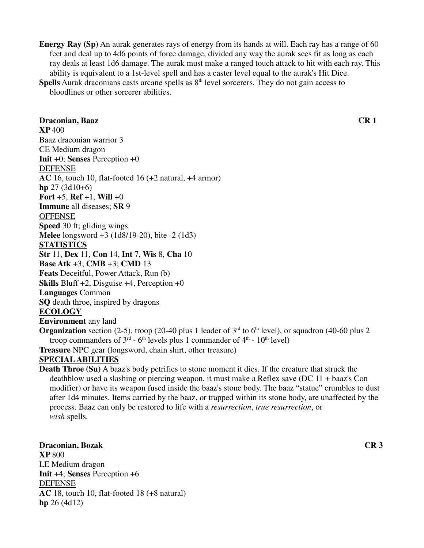**Energy Ray (Sp)** An aurak generates rays of energy from its hands at will. Each ray has a range of 60 feet and deal up to 4d6 points of force damage, divided any way the aurak sees fit as long as each ray deals at least 1d6 damage. The aurak must make a ranged touch attack to hit with each ray. This ability is equivalent to a 1st-level spell and has a caster level equal to the aurak's Hit Dice.

**Spells** Aurak draconians casts arcane spells as 8<sup>th</sup> level sorcerers. They do not gain access to bloodlines or other sorcerer abilities.

## **Draconian, Baaz CR 1 XP** 400 Baaz draconian warrior 3 CE Medium dragon **Init** +0; **Senses** Perception +0 DEFENSE **AC** 16, touch 10, flat-footed 16 (+2 natural, +4 armor) **hp** 27 (3d10+6) **Fort** +5, **Ref** +1, **Will** +0 **Immune** all diseases; **SR** 9 **OFFENSE Speed** 30 ft; gliding wings **Melee** longsword +3 (1d8/19-20), bite -2 (1d3) **STATISTICS Str** 11, **Dex** 11, **Con** 14, **Int** 7, **Wis** 8, **Cha** 10 **Base Atk** +3; **CMB** +3; **CMD** 13 **Feats** Deceitful, Power Attack, Run (b) **Skills** Bluff +2, Disguise +4, Perception +0 **Languages** Common **SQ** death throe, inspired by dragons **ECOLOGY Environment** any land **Organization** section (2-5), troop (20-40 plus 1 leader of  $3<sup>rd</sup>$  to 6<sup>th</sup> level), or squadron (40-60 plus 2 troop commanders of  $3<sup>rd</sup>$  - 6<sup>th</sup> levels plus 1 commander of  $4<sup>th</sup>$  - 10<sup>th</sup> level) **Treasure** NPC gear (longsword, chain shirt, other treasure) **SPECIAL ABILITIES**

**Death Throe (Su)** A baaz's body petrifies to stone moment it dies. If the creature that struck the deathblow used a slashing or piercing weapon, it must make a Reflex save (DC 11 + baaz's Con modifier) or have its weapon fused inside the baaz's stone body. The baaz "statue" crumbles to dust after 1d4 minutes. Items carried by the baaz, or trapped within its stone body, are unaffected by the process. Baaz can only be restored to life with a *resurrection*, *true resurrection*, or *wish* spells.

**Draconian, Bozak CR 3 XP** 800 LE Medium dragon **Init** +4; **Senses** Perception +6 DEFENSE **AC** 18, touch 10, flat-footed 18 (+8 natural) **hp** 26 (4d12)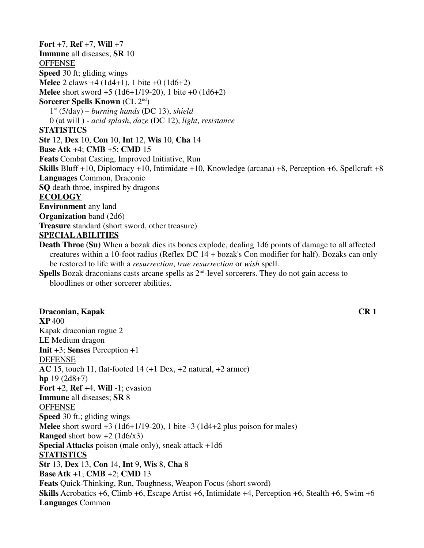**Fort** +7, **Ref** +7, **Will** +7 **Immune** all diseases; **SR** 10 **OFFENSE Speed** 30 ft; gliding wings **Melee** 2 claws +4 (1d4+1), 1 bite +0 (1d6+2) **Melee** short sword +5 (1d6+1/19-20), 1 bite +0 (1d6+2) **Sorcerer Spells Known** (CL 2<sup>nd</sup>) 1st (5/day) – *burning hands* (DC 13), *shield* 0 (at will ) - *acid splash*, *daze* (DC 12), *light*, *resistance* **STATISTICS Str** 12, **Dex** 10, **Con** 10, **Int** 12, **Wis** 10, **Cha** 14 **Base Atk** +4; **CMB** +5; **CMD** 15 **Feats** Combat Casting, Improved Initiative, Run **Skills** Bluff +10, Diplomacy +10, Intimidate +10, Knowledge (arcana) +8, Perception +6, Spellcraft +8 **Languages** Common, Draconic **SQ** death throe, inspired by dragons **ECOLOGY Environment** any land **Organization** band (2d6) **Treasure** standard (short sword, other treasure) **SPECIAL ABILITIES Death Throe (Su)** When a bozak dies its bones explode, dealing 1d6 points of damage to all affected creatures within a 10-foot radius (Reflex DC 14 + bozak's Con modifier for half). Bozaks can only

be restored to life with a *resurrection*, *true resurrection* or *wish* spell.

**Spells** Bozak draconians casts arcane spells as  $2^{nd}$ -level sorcerers. They do not gain access to bloodlines or other sorcerer abilities.

### **Draconian, Kapak CR 1**

**XP** 400 Kapak draconian rogue 2 LE Medium dragon **Init** +3; **Senses** Perception +1 DEFENSE **AC** 15, touch 11, flat-footed 14 (+1 Dex, +2 natural, +2 armor) **hp** 19 (2d8+7) **Fort** +2, **Ref** +4, **Will** -1; evasion **Immune** all diseases; **SR** 8 **OFFENSE Speed** 30 ft.; gliding wings **Melee** short sword +3 (1d6+1/19-20), 1 bite -3 (1d4+2 plus poison for males) **Ranged** short bow  $+2$  (1d6/x3) **Special Attacks** poison (male only), sneak attack +1d6 **STATISTICS Str** 13, **Dex** 13, **Con** 14, **Int** 9, **Wis** 8, **Cha** 8 **Base Atk** +1; **CMB** +2; **CMD** 13 **Feats** Quick-Thinking, Run, Toughness, Weapon Focus (short sword) **Skills** Acrobatics +6, Climb +6, Escape Artist +6, Intimidate +4, Perception +6, Stealth +6, Swim +6 **Languages** Common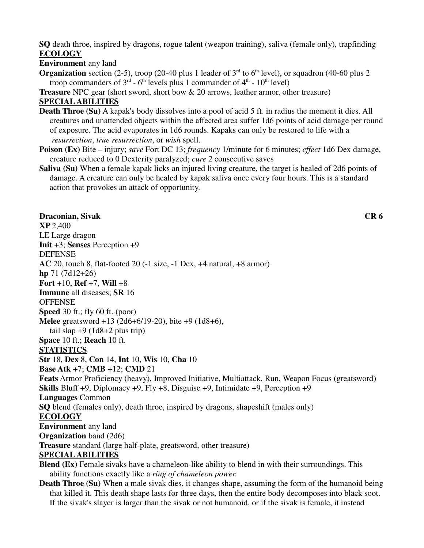**SQ** death throe, inspired by dragons, rogue talent (weapon training), saliva (female only), trapfinding **ECOLOGY**

**Environment** any land

**Organization** section (2-5), troop (20-40 plus 1 leader of  $3<sup>rd</sup>$  to 6<sup>th</sup> level), or squadron (40-60 plus 2 troop commanders of  $3<sup>rd</sup>$  - 6<sup>th</sup> levels plus 1 commander of  $4<sup>th</sup>$  - 10<sup>th</sup> level)

**Treasure** NPC gear (short sword, short bow & 20 arrows, leather armor, other treasure) **SPECIAL ABILITIES**

- **Death Throe (Su)** A kapak's body dissolves into a pool of acid 5 ft. in radius the moment it dies. All creatures and unattended objects within the affected area suffer 1d6 points of acid damage per round of exposure. The acid evaporates in 1d6 rounds. Kapaks can only be restored to life with a  *resurrection*, *true resurrection*, or *wish* spell.
- **Poison (Ex)** Bite injury; *save* Fort DC 13; *frequency* 1/minute for 6 minutes; *effect* 1d6 Dex damage, creature reduced to 0 Dexterity paralyzed; *cure* 2 consecutive saves
- **Saliva (Su)** When a female kapak licks an injured living creature, the target is healed of 2d6 points of damage. A creature can only be healed by kapak saliva once every four hours. This is a standard action that provokes an attack of opportunity.

**Draconian, Sivak CR 6 XP** 2,400 LE Large dragon **Init** +3; **Senses** Perception +9 DEFENSE **AC** 20, touch 8, flat-footed 20 (-1 size, -1 Dex, +4 natural, +8 armor) **hp** 71 (7d12+26) **Fort** +10, **Ref** +7, **Will** +8 **Immune** all diseases; **SR** 16 **OFFENSE Speed** 30 ft.; fly 60 ft. (poor) **Melee** greatsword +13 (2d6+6/19-20), bite +9 (1d8+6), tail slap  $+9$  (1d8 $+2$  plus trip) **Space** 10 ft.; **Reach** 10 ft. **STATISTICS Str** 18, **Dex** 8, **Con** 14, **Int** 10, **Wis** 10, **Cha** 10 **Base Atk** +7; **CMB** +12; **CMD** 21 **Feats** Armor Proficiency (heavy), Improved Initiative, Multiattack, Run, Weapon Focus (greatsword) **Skills** Bluff +9, Diplomacy +9, Fly +8, Disguise +9, Intimidate +9, Perception +9 **Languages** Common **SQ** blend (females only), death throe, inspired by dragons, shapeshift (males only) **ECOLOGY Environment** any land **Organization** band (2d6) **Treasure** standard (large half-plate, greatsword, other treasure) **SPECIAL ABILITIES Blend (Ex)** Female sivaks have a chameleon-like ability to blend in with their surroundings. This ability functions exactly like a *ring of chameleon power*. **Death Throe (Su)** When a male sivak dies, it changes shape, assuming the form of the humanoid being that killed it. This death shape lasts for three days, then the entire body decomposes into black soot.

If the sivak's slayer is larger than the sivak or not humanoid, or if the sivak is female, it instead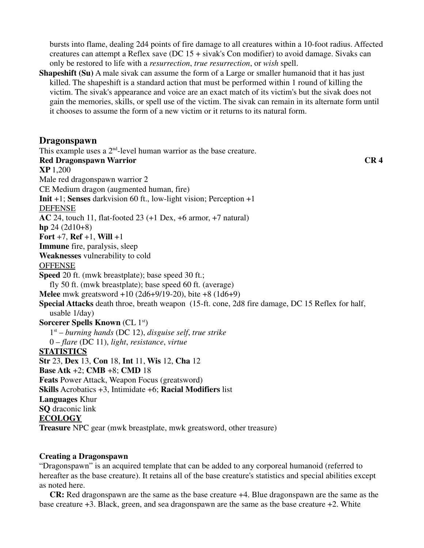bursts into flame, dealing 2d4 points of fire damage to all creatures within a 10-foot radius. Affected creatures can attempt a Reflex save (DC  $15 +$  sivak's Con modifier) to avoid damage. Sivaks can only be restored to life with a *resurrection*, *true resurrection*, or *wish* spell.

**Shapeshift (Su)** A male sivak can assume the form of a Large or smaller humanoid that it has just killed. The shapeshift is a standard action that must be performed within 1 round of killing the victim. The sivak's appearance and voice are an exact match of its victim's but the sivak does not gain the memories, skills, or spell use of the victim. The sivak can remain in its alternate form until it chooses to assume the form of a new victim or it returns to its natural form.

## **Dragonspawn**

This example uses a  $2<sup>nd</sup>$ -level human warrior as the base creature. **Red Dragonspawn Warrior CR 4 XP** 1,200 Male red dragonspawn warrior 2 CE Medium dragon (augmented human, fire) **Init** +1; **Senses** darkvision 60 ft., low-light vision; Perception +1 DEFENSE **AC** 24, touch 11, flat-footed 23 (+1 Dex, +6 armor, +7 natural) **hp** 24 (2d10+8) **Fort** +7, **Ref** +1, **Will** +1 **Immune** fire, paralysis, sleep **Weaknesses** vulnerability to cold **OFFENSE Speed** 20 ft. (mwk breastplate); base speed 30 ft.; fly 50 ft. (mwk breastplate); base speed 60 ft. (average) **Melee** mwk greatsword +10 (2d6+9/19-20), bite +8 (1d6+9) **Special Attacks** death throe, breath weapon (15-ft. cone, 2d8 fire damage, DC 15 Reflex for half, usable 1/day) **Sorcerer Spells Known** (CL 1<sup>st</sup>) 1st – *burning hands* (DC 12), *disguise self*, *true strike* 0 – *flare* (DC 11), *light*, *resistance*, *virtue* **STATISTICS Str** 23, **Dex** 13, **Con** 18, **Int** 11, **Wis** 12, **Cha** 12 **Base Atk** +2; **CMB** +8; **CMD** 18 **Feats** Power Attack, Weapon Focus (greatsword) **Skills** Acrobatics +3, Intimidate +6; **Racial Modifiers** list **Languages** Khur **SQ** draconic link **ECOLOGY Treasure** NPC gear (mwk breastplate, mwk greatsword, other treasure)

#### **Creating a Dragonspawn**

"Dragonspawn" is an acquired template that can be added to any corporeal humanoid (referred to hereafter as the base creature). It retains all of the base creature's statistics and special abilities except as noted here.

 **CR:** Red dragonspawn are the same as the base creature +4. Blue dragonspawn are the same as the base creature +3. Black, green, and sea dragonspawn are the same as the base creature +2. White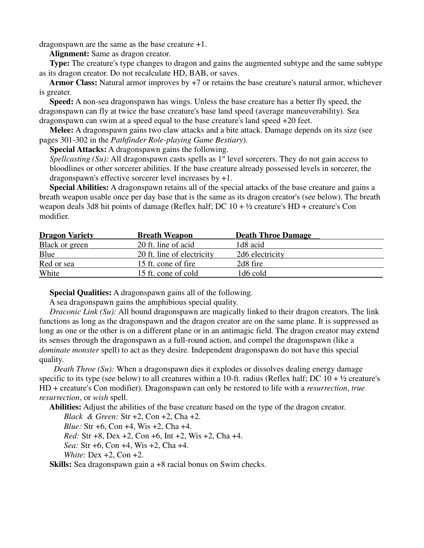dragonspawn are the same as the base creature +1.

**Alignment:** Same as dragon creator.

 **Type:** The creature's type changes to dragon and gains the augmented subtype and the same subtype as its dragon creator. Do not recalculate HD, BAB, or saves.

 **Armor Class:** Natural armor improves by +7 or retains the base creature's natural armor, whichever is greater.

 **Speed:** A non-sea dragonspawn has wings. Unless the base creature has a better fly speed, the dragonspawn can fly at twice the base creature's base land speed (average maneuverability). Sea dragonspawn can swim at a speed equal to the base creature's land speed +20 feet.

 **Melee:** A dragonspawn gains two claw attacks and a bite attack. Damage depends on its size (see pages 301-302 in the *Pathfinder Role-playing Game Bestiary*).

**Special Attacks:** A dragonspawn gains the following.

*Spellcasting (Su):* All dragonspawn casts spells as 1<sup>st</sup> level sorcerers. They do not gain access to bloodlines or other sorcerer abilities. If the base creature already possessed levels in sorcerer, the dragonspawn's effective sorcerer level increases by +1.

 **Special Abilities:** A dragonspawn retains all of the special attacks of the base creature and gains a breath weapon usable once per day base that is the same as its dragon creator's (see below). The breath weapon deals 3d8 hit points of damage (Reflex half; DC  $10 + \frac{1}{2}$  creature's HD + creature's Con modifier.

| <b>Dragon Variety</b> | <b>Breath Weapon</b>       | <b>Death Throe Damage</b> |
|-----------------------|----------------------------|---------------------------|
| <b>Black or green</b> | 20 ft. line of acid        | 1d8 acid                  |
| Blue                  | 20 ft. line of electricity | 2d6 electricity           |
| Red or sea            | 15 ft. cone of fire        | 2d8 fire                  |
| White                 | 15 ft. cone of cold        | 1d6 cold                  |

 **Special Qualities:** A dragonspawn gains all of the following.

A sea dragonspawn gains the amphibious special quality.

*Draconic Link (Su):* All bound dragonspawn are magically linked to their dragon creators. The link functions as long as the dragonspawn and the dragon creator are on the same plane. It is suppressed as long as one or the other is on a different plane or in an antimagic field. The dragon creator may extend its senses through the dragonspawn as a full-round action, and compel the dragonspawn (like a *dominate monster* spell) to act as they desire. Independent dragonspawn do not have this special quality.

*Death Throe (Su):* When a dragonspawn dies it explodes or dissolves dealing energy damage specific to its type (see below) to all creatures within a 10-ft. radius (Reflex half; DC  $10 + \frac{1}{2}$  creature's HD + creature's Con modifier). Dragonspawn can only be restored to life with a *resurrection*, *true resurrection*, or *wish* spell.

**Abilities:** Adjust the abilities of the base creature based on the type of the dragon creator.

*Black & Green:* Str +2, Con +2, Cha +2.

*Blue:* Str +6, Con +4, Wis +2, Cha +4.

*Red:* Str +8, Dex +2, Con +6, Int +2, Wis +2, Cha +4.

*Sea:* Str +6, Con +4, Wis +2, Cha +4.

*White:* Dex +2, Con +2.

**Skills:** Sea dragonspawn gain a +8 racial bonus on Swim checks.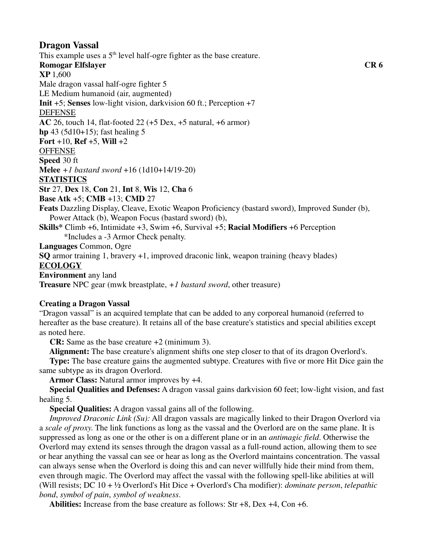# **Dragon Vassal**

This example uses a  $5<sup>th</sup>$  level half-ogre fighter as the base creature. **Romogar Elfslayer CR 6 XP** 1,600 Male dragon vassal half-ogre fighter 5 LE Medium humanoid (air, augmented) **Init** +5; **Senses** low-light vision, darkvision 60 ft.; Perception +7 DEFENSE **AC** 26, touch 14, flat-footed 22 (+5 Dex, +5 natural, +6 armor) **hp** 43 (5d10+15); fast healing 5 **Fort** +10, **Ref** +5, **Will** +2 **OFFENSE Speed** 30 ft **Melee** *+1 bastard sword* +16 (1d10+14/19-20) **STATISTICS Str** 27, **Dex** 18, **Con** 21, **Int** 8, **Wis** 12, **Cha** 6 **Base Atk** +5; **CMB** +13; **CMD** 27 **Feats** Dazzling Display, Cleave, Exotic Weapon Proficiency (bastard sword), Improved Sunder (b), Power Attack (b), Weapon Focus (bastard sword) (b), **Skills\*** Climb +6, Intimidate +3, Swim +6, Survival +5; **Racial Modifiers** +6 Perception \*Includes a -3 Armor Check penalty. **Languages** Common, Ogre **SQ** armor training 1, bravery +1, improved draconic link, weapon training (heavy blades) **ECOLOGY Environment** any land **Treasure** NPC gear (mwk breastplate, *+1 bastard sword*, other treasure)

### **Creating a Dragon Vassal**

"Dragon vassal" is an acquired template that can be added to any corporeal humanoid (referred to hereafter as the base creature). It retains all of the base creature's statistics and special abilities except as noted here.

**CR:** Same as the base creature +2 (minimum 3).

**Alignment:** The base creature's alignment shifts one step closer to that of its dragon Overlord's.

 **Type:** The base creature gains the augmented subtype. Creatures with five or more Hit Dice gain the same subtype as its dragon Overlord.

**Armor Class:** Natural armor improves by +4.

 **Special Qualities and Defenses:** A dragon vassal gains darkvision 60 feet; low-light vision, and fast healing 5.

 **Special Qualities:** A dragon vassal gains all of the following.

 *Improved Draconic Link (Su):* All dragon vassals are magically linked to their Dragon Overlord via a *scale of proxy*. The link functions as long as the vassal and the Overlord are on the same plane. It is suppressed as long as one or the other is on a different plane or in an *antimagic field*. Otherwise the Overlord may extend its senses through the dragon vassal as a full-round action, allowing them to see or hear anything the vassal can see or hear as long as the Overlord maintains concentration. The vassal can always sense when the Overlord is doing this and can never willfully hide their mind from them, even through magic. The Overlord may affect the vassal with the following spell-like abilities at will (Will resists; DC 10 + ½ Overlord's Hit Dice + Overlord's Cha modifier): *dominate person*, *telepathic bond*, *symbol of pain*, *symbol of weakness*.

**Abilities:** Increase from the base creature as follows: Str +8, Dex +4, Con +6.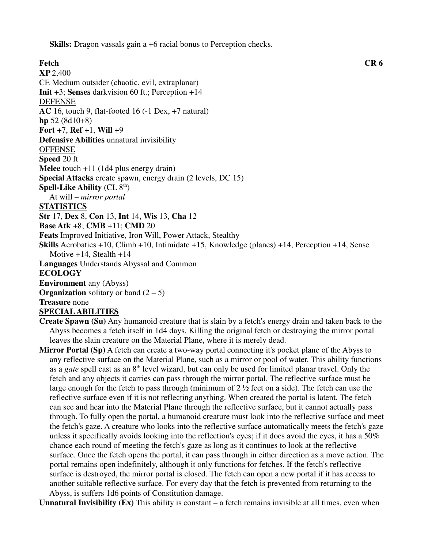**Skills:** Dragon vassals gain a +6 racial bonus to Perception checks.

**Fetch CR 6 XP** 2,400 CE Medium outsider (chaotic, evil, extraplanar) **Init** +3; **Senses** darkvision 60 ft.; Perception +14 DEFENSE **AC** 16, touch 9, flat-footed 16 (-1 Dex, +7 natural) **hp** 52 (8d10+8) **Fort** +7, **Ref** +1, **Will** +9 **Defensive Abilities** unnatural invisibility **OFFENSE Speed** 20 ft **Melee** touch +11 (1d4 plus energy drain) **Special Attacks** create spawn, energy drain (2 levels, DC 15) **Spell-Like Ability** (CL 8<sup>th</sup>) At will – *mirror portal* **STATISTICS Str** 17, **Dex** 8, **Con** 13, **Int** 14, **Wis** 13, **Cha** 12 **Base Atk** +8; **CMB** +11; **CMD** 20 **Feats** Improved Initiative, Iron Will, Power Attack, Stealthy **Skills** Acrobatics +10, Climb +10, Intimidate +15, Knowledge (planes) +14, Perception +14, Sense Motive  $+14$ , Stealth  $+14$ **Languages** Understands Abyssal and Common **ECOLOGY Environment** any (Abyss) **Organization** solitary or band  $(2 - 5)$ **Treasure** none **SPECIAL ABILITIES**

**Create Spawn (Su)** Any humanoid creature that is slain by a fetch's energy drain and taken back to the Abyss becomes a fetch itself in 1d4 days. Killing the original fetch or destroying the mirror portal leaves the slain creature on the Material Plane, where it is merely dead.

**Mirror Portal (Sp)** A fetch can create a two-way portal connecting it's pocket plane of the Abyss to any reflective surface on the Material Plane, such as a mirror or pool of water. This ability functions as a *gate* spell cast as an 8<sup>th</sup> level wizard, but can only be used for limited planar travel. Only the fetch and any objects it carries can pass through the mirror portal. The reflective surface must be large enough for the fetch to pass through (minimum of 2 ½ feet on a side). The fetch can use the reflective surface even if it is not reflecting anything. When created the portal is latent. The fetch can see and hear into the Material Plane through the reflective surface, but it cannot actually pass through. To fully open the portal, a humanoid creature must look into the reflective surface and meet the fetch's gaze. A creature who looks into the reflective surface automatically meets the fetch's gaze unless it specifically avoids looking into the reflection's eyes; if it does avoid the eyes, it has a  $50\%$  chance each round of meeting the fetch's gaze as long as it continues to look at the reflective surface. Once the fetch opens the portal, it can pass through in either direction as a move action. The portal remains open indefinitely, although it only functions for fetches. If the fetch's reflective surface is destroyed, the mirror portal is closed. The fetch can open a new portal if it has access to another suitable reflective surface. For every day that the fetch is prevented from returning to the Abyss, is suffers 1d6 points of Constitution damage.

**Unnatural Invisibility (Ex)** This ability is constant – a fetch remains invisible at all times, even when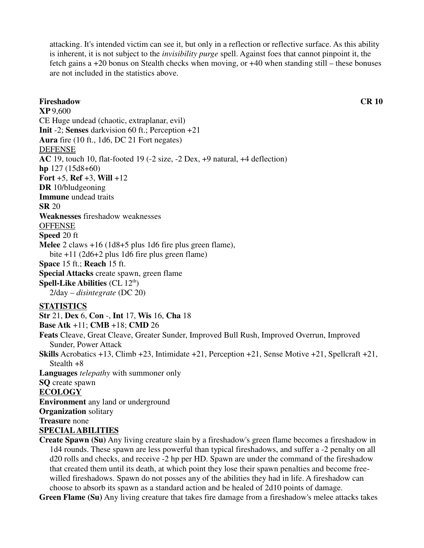attacking. It's intended victim can see it, but only in a reflection or reflective surface. As this ability is inherent, it is not subject to the *invisibility purge* spell. Against foes that cannot pinpoint it, the fetch gains a +20 bonus on Stealth checks when moving, or +40 when standing still – these bonuses are not included in the statistics above.

**Fireshadow CR 10 XP** 9,600 CE Huge undead (chaotic, extraplanar, evil) **Init** -2; **Senses** darkvision 60 ft.; Perception +21 **Aura** fire (10 ft., 1d6, DC 21 Fort negates) DEFENSE **AC** 19, touch 10, flat-footed 19 (-2 size, -2 Dex, +9 natural, +4 deflection) **hp** 127 (15d8+60) **Fort** +5, **Ref** +3, **Will** +12 **DR** 10/bludgeoning **Immune** undead traits **SR** 20 **Weaknesses** fireshadow weaknesses **OFFENSE Speed** 20 ft **Melee** 2 claws +16 (1d8+5 plus 1d6 fire plus green flame), bite +11 (2d6+2 plus 1d6 fire plus green flame) **Space** 15 ft.; **Reach** 15 ft. **Special Attacks** create spawn, green flame **Spell-Like Abilities** (CL 12<sup>th</sup>) 2/day – *disintegrate* (DC 20) **STATISTICS Str** 21, **Dex** 6, **Con** -, **Int** 17, **Wis** 16, **Cha** 18 **Base Atk** +11; **CMB** +18; **CMD** 26 **Feats** Cleave, Great Cleave, Greater Sunder, Improved Bull Rush, Improved Overrun, Improved Sunder, Power Attack **Skills** Acrobatics +13, Climb +23, Intimidate +21, Perception +21, Sense Motive +21, Spellcraft +21, Stealth  $+8$ **Languages** *telepathy* with summoner only **SQ** create spawn **ECOLOGY Environment** any land or underground **Organization** solitary **Treasure** none **SPECIAL ABILITIES Create Spawn (Su)** Any living creature slain by a fireshadow's green flame becomes a fireshadow in

 1d4 rounds. These spawn are less powerful than typical fireshadows, and suffer a -2 penalty on all d20 rolls and checks, and receive -2 hp per HD. Spawn are under the command of the fireshadow that created them until its death, at which point they lose their spawn penalties and become free willed fireshadows. Spawn do not posses any of the abilities they had in life. A fireshadow can choose to absorb its spawn as a standard action and be healed of 2d10 points of damage.

**Green Flame (Su)** Any living creature that takes fire damage from a fireshadow's melee attacks takes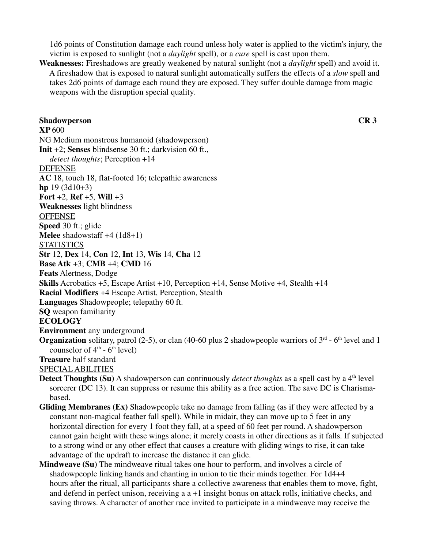1d6 points of Constitution damage each round unless holy water is applied to the victim's injury, the victim is exposed to sunlight (not a *daylight* spell), or a *cure* spell is cast upon them.

**Weaknesses:** Fireshadows are greatly weakened by natural sunlight (not a *daylight* spell) and avoid it. A fireshadow that is exposed to natural sunlight automatically suffers the effects of a *slow* spell and takes 2d6 points of damage each round they are exposed. They suffer double damage from magic weapons with the disruption special quality.

**Shadowperson CR 3 XP** 600 NG Medium monstrous humanoid (shadowperson) **Init** +2; **Senses** blindsense 30 ft.; darkvision 60 ft.,  *detect thoughts*; Perception +14 DEFENSE **AC** 18, touch 18, flat-footed 16; telepathic awareness **hp** 19 (3d10+3) **Fort** +2, **Ref** +5, **Will** +3 **Weaknesses** light blindness **OFFENSE Speed** 30 ft.; glide **Melee** shadowstaff +4 (1d8+1) **STATISTICS Str** 12, **Dex** 14, **Con** 12, **Int** 13, **Wis** 14, **Cha** 12 **Base Atk** +3; **CMB** +4; **CMD** 16 **Feats** Alertness, Dodge **Skills** Acrobatics +5, Escape Artist +10, Perception +14, Sense Motive +4, Stealth +14 **Racial Modifiers** +4 Escape Artist, Perception, Stealth **Languages** Shadowpeople; telepathy 60 ft. **SQ** weapon familiarity **ECOLOGY Environment** any underground **Organization** solitary, patrol (2-5), or clan (40-60 plus 2 shadowpeople warriors of  $3<sup>rd</sup>$  - 6<sup>th</sup> level and 1 counselor of  $4<sup>th</sup>$  -  $6<sup>th</sup>$  level) **Treasure** half standard SPECIAL ABILITIES **Detect Thoughts (Su)** A shadowperson can continuously *detect thoughts* as a spell cast by a 4<sup>th</sup> level sorcerer (DC 13). It can suppress or resume this ability as a free action. The save DC is Charisma-

- based.
- **Gliding Membranes (Ex)** Shadowpeople take no damage from falling (as if they were affected by a constant non-magical feather fall spell). While in midair, they can move up to 5 feet in any horizontal direction for every 1 foot they fall, at a speed of 60 feet per round. A shadowperson cannot gain height with these wings alone; it merely coasts in other directions as it falls. If subjected to a strong wind or any other effect that causes a creature with gliding wings to rise, it can take advantage of the updraft to increase the distance it can glide.
- **Mindweave (Su)** The mindweave ritual takes one hour to perform, and involves a circle of shadowpeople linking hands and chanting in union to tie their minds together. For 1d4+4 hours after the ritual, all participants share a collective awareness that enables them to move, fight, and defend in perfect unison, receiving a a +1 insight bonus on attack rolls, initiative checks, and saving throws. A character of another race invited to participate in a mindweave may receive the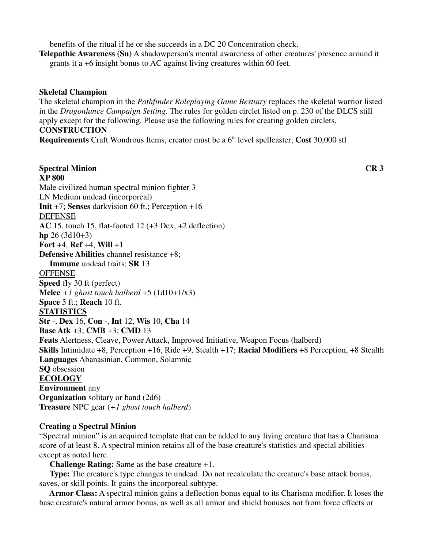benefits of the ritual if he or she succeeds in a DC 20 Concentration check.

**Telepathic Awareness (Su)** A shadowperson's mental awareness of other creatures' presence around it grants it a +6 insight bonus to AC against living creatures within 60 feet.

## **Skeletal Champion**

The skeletal champion in the *Pathfinder Roleplaying Game Bestiary* replaces the skeletal warrior listed in the *Dragonlance Campaign Setting*. The rules for golden circlet listed on p. 230 of the DLCS still apply except for the following. Please use the following rules for creating golden circlets. **CONSTRUCTION**

**Requirements** Craft Wondrous Items, creator must be a 6<sup>th</sup> level spellcaster; Cost 30,000 stl

**Spectral Minion CR 3 XP 800** Male civilized human spectral minion fighter 3 LN Medium undead (incorporeal) **Init** +7; **Senses** darkvision 60 ft.; Perception +16 DEFENSE **AC** 15, touch 15, flat-footed 12 (+3 Dex, +2 deflection) **hp** 26 (3d10+3) **Fort** +4, **Ref** +4, **Will** +1 **Defensive Abilities** channel resistance +8; **Immune** undead traits; **SR** 13 **OFFENSE Speed** fly 30 ft (perfect) **Melee**  $+1$  *ghost touch halberd*  $+5$  (1d10+1/x3) **Space** 5 ft.; **Reach** 10 ft. **STATISTICS Str** -, **Dex** 16, **Con** -, **Int** 12, **Wis** 10, **Cha** 14 **Base Atk** +3; **CMB** +3; **CMD** 13 **Feats** Alertness, Cleave, Power Attack, Improved Initiative, Weapon Focus (halberd) **Skills** Intimidate +8, Perception +16, Ride +9, Stealth +17; **Racial Modifiers** +8 Perception, +8 Stealth **Languages** Abanasinian, Common, Solamnic **SQ** obsession **ECOLOGY Environment** any **Organization** solitary or band (2d6) **Treasure** NPC gear (*+1 ghost touch halberd*)

## **Creating a Spectral Minion**

"Spectral minion" is an acquired template that can be added to any living creature that has a Charisma score of at least 8. A spectral minion retains all of the base creature's statistics and special abilities except as noted here.

**Challenge Rating:** Same as the base creature +1.

 **Type:** The creature's type changes to undead. Do not recalculate the creature's base attack bonus, saves, or skill points. It gains the incorporeal subtype.

 **Armor Class:** A spectral minion gains a deflection bonus equal to its Charisma modifier. It loses the base creature's natural armor bonus, as well as all armor and shield bonuses not from force effects or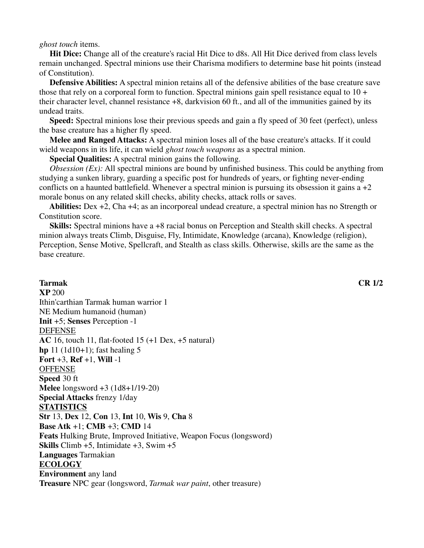*ghost touch* items.

 **Hit Dice:** Change all of the creature's racial Hit Dice to d8s. All Hit Dice derived from class levels remain unchanged. Spectral minions use their Charisma modifiers to determine base hit points (instead of Constitution).

 **Defensive Abilities:** A spectral minion retains all of the defensive abilities of the base creature save those that rely on a corporeal form to function. Spectral minions gain spell resistance equal to  $10 +$ their character level, channel resistance +8, darkvision 60 ft., and all of the immunities gained by its undead traits.

 **Speed:** Spectral minions lose their previous speeds and gain a fly speed of 30 feet (perfect), unless the base creature has a higher fly speed.

 **Melee and Ranged Attacks:** A spectral minion loses all of the base creature's attacks. If it could wield weapons in its life, it can wield *ghost touch weapons* as a spectral minion.

**Special Qualities:** A spectral minion gains the following.

*Obsession (Ex):* All spectral minions are bound by unfinished business. This could be anything from studying a sunken library, guarding a specific post for hundreds of years, or fighting never-ending conflicts on a haunted battlefield. Whenever a spectral minion is pursuing its obsession it gains  $a + 2$ morale bonus on any related skill checks, ability checks, attack rolls or saves.

 **Abilities:** Dex +2, Cha +4; as an incorporeal undead creature, a spectral minion has no Strength or Constitution score.

 **Skills:** Spectral minions have a +8 racial bonus on Perception and Stealth skill checks. A spectral minion always treats Climb, Disguise, Fly, Intimidate, Knowledge (arcana), Knowledge (religion), Perception, Sense Motive, Spellcraft, and Stealth as class skills. Otherwise, skills are the same as the base creature.

## **Tarmak CR 1/2 XP** 200 Ithin'carthian Tarmak human warrior 1 NE Medium humanoid (human) **Init** +5; **Senses** Perception -1 DEFENSE **AC** 16, touch 11, flat-footed 15 (+1 Dex, +5 natural) **hp** 11 (1d10+1); fast healing 5 **Fort** +3, **Ref** +1, **Will** -1 **OFFENSE Speed** 30 ft **Melee** longsword +3 (1d8+1/19-20) **Special Attacks** frenzy 1/day **STATISTICS Str** 13, **Dex** 12, **Con** 13, **Int** 10, **Wis** 9, **Cha** 8 **Base Atk** +1; **CMB** +3; **CMD** 14 **Feats** Hulking Brute, Improved Initiative, Weapon Focus (longsword) **Skills** Climb +5, Intimidate +3, Swim +5 **Languages** Tarmakian **ECOLOGY Environment** any land **Treasure** NPC gear (longsword, *Tarmak war paint*, other treasure)